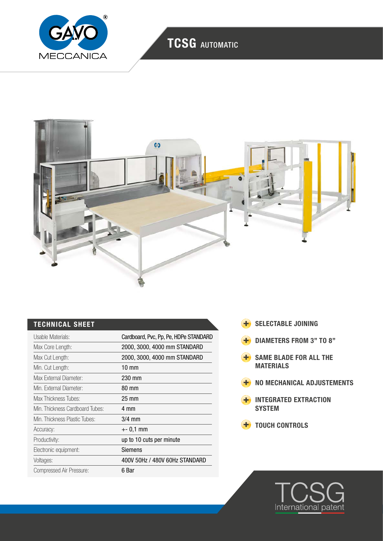

# TCSG AUTOMATIC



| Usable Materials:               | Cardboard, Pvc, Pp, Pe, HDPe STANDARD |
|---------------------------------|---------------------------------------|
| Max Core Length:                | 2000, 3000, 4000 mm STANDARD          |
| Max Cut Length:                 | 2000, 3000, 4000 mm STANDARD          |
| Min. Cut Length:                | $10 \text{ mm}$                       |
| Max External Diameter:          | 230 mm                                |
| Min. External Diameter:         | 80 mm                                 |
| Max Thickness Tubes:            | $25 \text{ mm}$                       |
| Min. Thickness Cardboard Tubes: | 4 mm                                  |
| Min. Thickness Plastic Tubes:   | $3/4$ mm                              |
| Accuracy:                       | $+-0.1$ mm                            |
| Productivity:                   | up to 10 cuts per minute              |
| Electronic equipment:           | Siemens                               |
| Voltages:                       | 400V 50Hz / 480V 60Hz STANDARD        |
| Compressed Air Pressure:        | 6 Bar                                 |

- TECHNICAL SHEET SELECTABLE JOINING
	- **+** DIAMETERS FROM 3" TO 8"
	- **H** SAME BLADE FOR ALL THE **MATERIALS**
	- **H** NO MECHANICAL ADJUSTEMENTS
	- **H** INTEGRATED EXTRACTION **SYSTEM**
	- **+** TOUCH CONTROLS